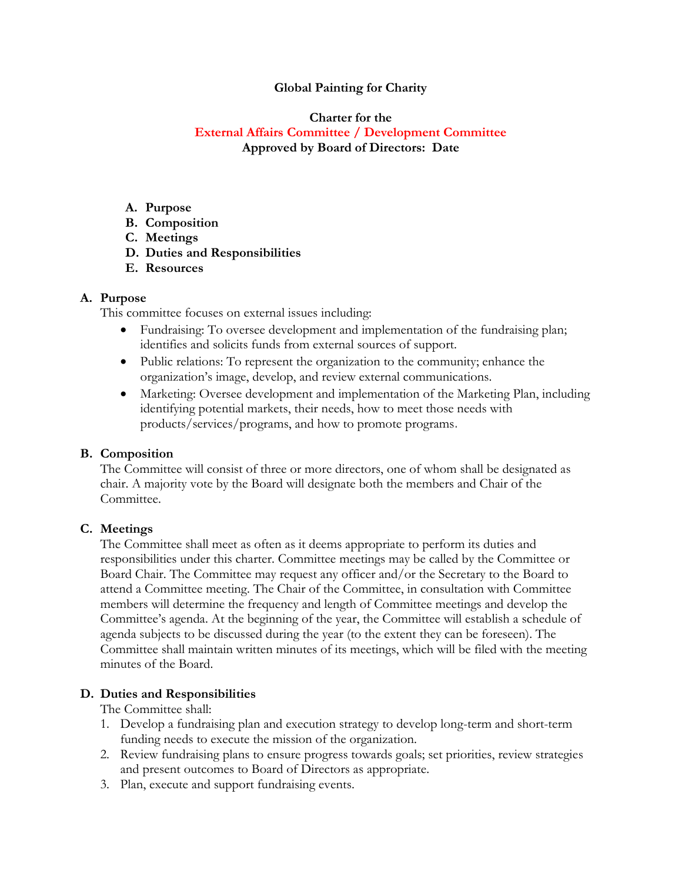#### **Global Painting for Charity**

### **Charter for the External Affairs Committee / Development Committee Approved by Board of Directors: Date**

- **A. Purpose**
- **B. Composition**
- **C. Meetings**
- **D. Duties and Responsibilities**
- **E. Resources**

#### **A. Purpose**

This committee focuses on external issues including:

- Fundraising: To oversee development and implementation of the fundraising plan; identifies and solicits funds from external sources of support.
- Public relations: To represent the organization to the community; enhance the organization's image, develop, and review external communications.
- Marketing: Oversee development and implementation of the Marketing Plan, including identifying potential markets, their needs, how to meet those needs with products/services/programs, and how to promote programs.

# **B. Composition**

The Committee will consist of three or more directors, one of whom shall be designated as chair. A majority vote by the Board will designate both the members and Chair of the Committee.

# **C. Meetings**

The Committee shall meet as often as it deems appropriate to perform its duties and responsibilities under this charter. Committee meetings may be called by the Committee or Board Chair. The Committee may request any officer and/or the Secretary to the Board to attend a Committee meeting. The Chair of the Committee, in consultation with Committee members will determine the frequency and length of Committee meetings and develop the Committee's agenda. At the beginning of the year, the Committee will establish a schedule of agenda subjects to be discussed during the year (to the extent they can be foreseen). The Committee shall maintain written minutes of its meetings, which will be filed with the meeting minutes of the Board.

# **D. Duties and Responsibilities**

The Committee shall:

- 1. Develop a fundraising plan and execution strategy to develop long-term and short-term funding needs to execute the mission of the organization.
- 2. Review fundraising plans to ensure progress towards goals; set priorities, review strategies and present outcomes to Board of Directors as appropriate.
- 3. Plan, execute and support fundraising events.